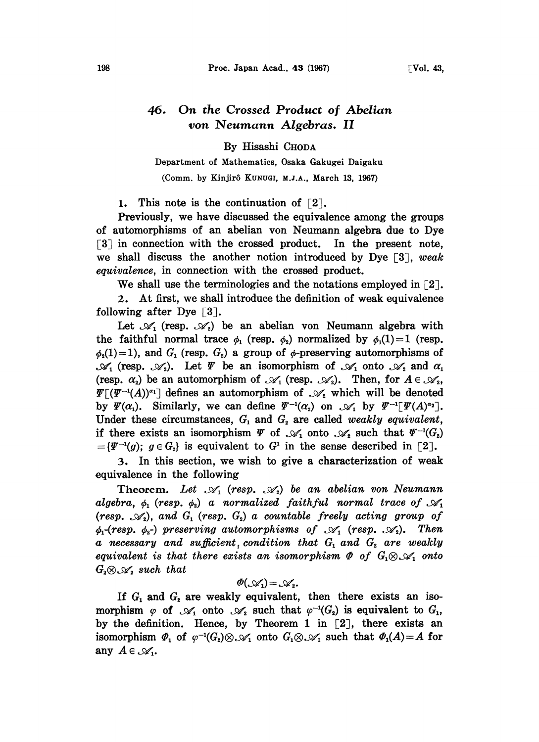## 46. On the Crossed Product of Abelian von Neumann Algebras. II

By Hisashi CHODA

## Department of Mathematics, Osaka Gakugei Daigaku (Comm. by Kinjirô KUNUGI, M.J.A., March 13, 1967)

1. This note is the continuation of  $\lceil 2 \rceil$ .

Previously, we have discussed the equivalence among the groups of automorphisms of an abelian yon Neumann algebra due to Dye [3] in connection with the crossed product. In the present note, we shall discuss the another notion introduced by Dye  $\lceil 3 \rceil$ , weak equivalence, in connection with the crossed product.

We shall use the terminologies and the notations employed in  $\lceil 2 \rceil$ .

2. At first, we shall introduce the definition of weak equivalence following after Dye  $\lceil 3 \rceil$ .

Let  $\mathscr{A}_1$  (resp.  $\mathscr{A}_2$ ) be an abelian von Neumann algebra with the faithful normal trace  $\phi_1$  (resp.  $\phi_2$ ) normalized by  $\phi_1(1)=1$  (resp.  $\phi_2(1)=1$ ), and  $G_1$  (resp.  $G_2$ ) a group of  $\phi$ -preserving automorphisms of  $\mathscr{A}_1$  (resp.  $\mathscr{A}_2$ ). Let  $\varPsi$  be an isomorphism of  $\mathscr{A}_1$  onto  $\mathscr{A}_2$  and  $\alpha_1$ (resp.  $\alpha_2$ ) be an automorphism of  $\mathcal{A}_1$  (resp.  $\mathcal{A}_2$ ). Then, for  $A \in \mathcal{A}_2$ ,  $\Psi[(\Psi^{-1}(A))^{\alpha_1}]$  defines an automorphism of  $\mathscr{A}_{\alpha}$  which will be denoted by  $\Psi(\alpha_1)$ . Similarly, we can define  $\Psi^{-1}(\alpha_2)$  on  $\mathscr{A}_1$  by  $\Psi^{-1}[\Psi(A)^{\alpha_2}]$ . Under these circumstances,  $G_1$  and  $G_2$  are called *weakly equivalent*, if there exists an isomorphism  $\Psi$  of  $\mathcal{A}_1$  onto  $\mathcal{A}_2$  such that  $\Psi^{-1}(G_2)$  $=\{\Psi^{-1}(g); g \in G_{2}\}\$ is equivalent to  $G^{1}$  in the sense described in [2].

3. In this section, we wish to give a characterization of weak equivalence in the following

Theorem. Let  $\mathcal{A}_1$  (resp.  $\mathcal{A}_2$ ) be an abelian von Neumann algebra,  $\phi_1$  (resp.  $\phi_2$ ) a normalized faithful normal trace of  $\mathscr{A}_1$ (resp.  $\mathscr{A}_2$ ), and  $G_1$  (resp.  $G_2$ ) a countable freely acting group of  $\phi_1$ -(resp.  $\phi_2$ -) preserving automorphisms of  $\mathcal{A}_1$  (resp.  $\mathcal{A}_2$ ). Then a necessary and sufficient condition that  $G_1$  and  $G_2$  are weakly equivalent is that there exists an isomorphism  $\Phi$  of  $G_1 \otimes \mathscr{A}_1$  onto  $G_2 \otimes \mathscr{A}_2$  such that

$$
\mathcal{O}(\mathcal{A}_1) = \mathcal{A}_2.
$$

If  $G_1$  and  $G_2$  are weakly equivalent, then there exists an isomorphism  $\varphi$  of  $\mathcal{A}_1$  onto  $\mathcal{A}_2$  such that  $\varphi^{-1}(G_2)$  is equivalent to  $G_1$ , by the definition. Hence, by Theorem 1 in  $[2]$ , there exists an isomorphism  $\Phi_1$  of  $\varphi^{-1}(G_2) \otimes \mathcal{A}_1$  onto  $G_1 \otimes \mathcal{A}_1$  such that  $\Phi_1(A) = A$  for any  $A \in \mathcal{A}_1$ .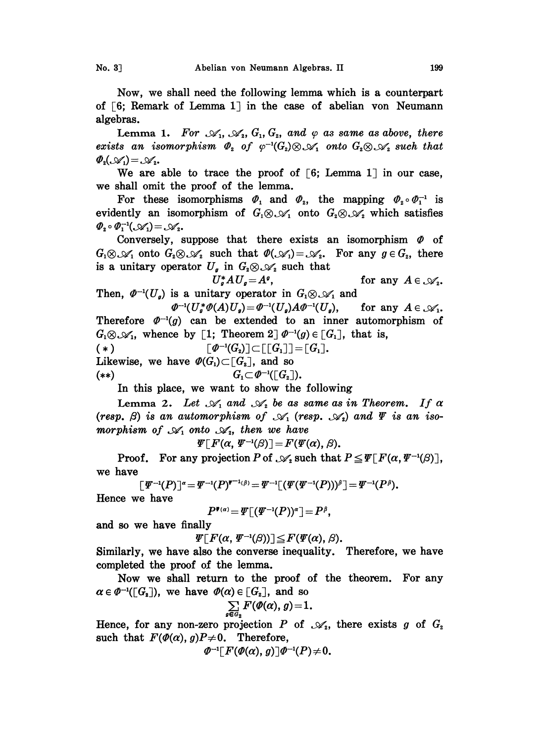Now, we shall need the following lemma which is a counterpart of  $\lceil 6;$  Remark of Lemma 1 in the case of abelian von Neumann algebras.

Lemma 1. For  $\mathcal{A}_1, \mathcal{A}_2, G_1, G_2,$  and  $\varphi$  as same as above, there exists an isomorphism  $\Phi_2$  of  $\varphi^{-1}(G_2) \otimes \mathcal{A}_1$  onto  $G_2 \otimes \mathcal{A}_2$  such that  $\Phi_2(\mathcal{A}_1) = \mathcal{A}_2$ .

We are able to trace the proof of  $\lceil 6;$  Lemma 1 in our case, we shall omit the proof of the lemma.

For these isomorphisms  $\Phi_1$  and  $\Phi_2$ , the mapping  $\Phi_2 \circ \Phi_1^{-1}$  is evidently an isomorphism of  $G_1 \otimes \mathcal{A}_1$  onto  $G_2 \otimes \mathcal{A}_2$  which satisfies  $\varPhi_2 \circ \varPhi_1^{-1}(\mathcal{A}_1) = \mathcal{A}_2$ .

Conversely, suppose that there exists an isomorphism  $\Phi$  of  $G_1 \otimes \mathcal{A}_1$  onto  $G_2 \otimes \mathcal{A}_2$  such that  $\mathcal{D}(\mathcal{A}_1) = \mathcal{A}_2$ . For any  $g \in G_2$ , there is a unitary operator  $U_g$  in  $G_2 \otimes \mathcal{A}_2$  such that

 $U^*_\sigma A U^-_g = A^{\rho}$ ,<br>Then,  $\Phi^{-1}(U_{\rho})$  is a unitary operator in  $G_1 \otimes \mathcal{A}_1$  and  $U^*_g A U_g = A^g,$ for any  $A \in \mathcal{A}_2$ .

Therefore  $\varPhi^{-1}(g)$  can be extended to an inner automorphism of  $\Phi^{-1}(U^*_g \Phi(A)U_g) = \Phi^{-1}(U_g)A\Phi^{-1}(U_g),$ for any  $A \in \mathcal{A}_1$ .  $G_1 \otimes \mathcal{A}_1$ , whence by [1; Theorem 2]  $\mathcal{Q}^{-1}(g) \in [G_1]$ , that is,

 $(\cdot)$ <br>  $(\ast)$   $[\emptyset^{-1}(G_2)] \subset [[G_1]] = [G_1].$ (\*)  $[\![\varPhi^{-1}(G_2)] \subset [[G_1]] = [G_1]$ .<br>Likewise, we have  $\varPhi(G_1) \subset [G_2]$ , and so

 $G_1 \subset \varPhi^{-1}([G_2]).$ (\*\*)

In this place, we want to show the following

Lemma 2. Let  $\mathscr{A}_1$  and  $\mathscr{A}_2$  be as same as in Theorem. If  $\alpha$ Lemma 2. Let  $\mathscr{A}_1$  and  $\mathscr{A}_2$  be as same as in Theorem. If  $\alpha$  (resp.  $\beta$ ) is an automorphism of  $\mathscr{A}_1$  (resp.  $\mathscr{A}_2$ ) and  $\Psi$  is an iso-(resp.  $\beta$ ) is an automorphism of  $\mathcal{A}_1$  (re<br>morphism of  $\mathcal{A}_1$  onto  $\mathcal{A}_2$ , then we have

 $\Psi[F(\alpha, \Psi^{-1}(\beta)]=F(\Psi(\alpha), \beta).$ 

Proof. For any projection P of  $\mathscr{A}_{s}$  such that  $P \leq \Psi \lceil F(\alpha, \Psi^{-1}(\beta)) \rceil$ , we have

$$
[\Psi^{-1}(P)]^{\alpha} = \Psi^{-1}(P)^{\Psi^{-1}(\beta)} = \Psi^{-1}[(\Psi(\Psi^{-1}(P)))^{\beta}] = \Psi^{-1}(P^{\beta}).
$$
  
we have

Hence we have

$$
P^{\bullet(\alpha)} = \Psi[(\Psi^{-1}(P))^{\alpha}] = P^{\beta},
$$

and so we have finally

 $\Psi[F(\alpha, \Psi^{-1}(\beta))] \leq F(\Psi(\alpha), \beta).$ 

Similarly, we have also the converse inequality. Therefore, we have completed the proof of the lemma.

Now we shall return to the proof of the theorem. For any  $\alpha \in \varPhi^{-1}([G_2])$ , we have  $\varPhi(\alpha) \in [G_2]$ , and so

$$
\sum_{\mathbf{e}\,a_{\bullet}}F(\mathbf{\varPhi}(\alpha),g)\!=\!1.
$$

Hence, for any non-zero projection P of  $\mathscr{A}_2$ , there exists g of  $G_z$ such that  $F(\phi(\alpha), g)P\neq0$ . Therefore,

$$
\varPhi^{-1}[F(\varPhi(\alpha), g)]\varPhi^{-1}(P)\neq 0.
$$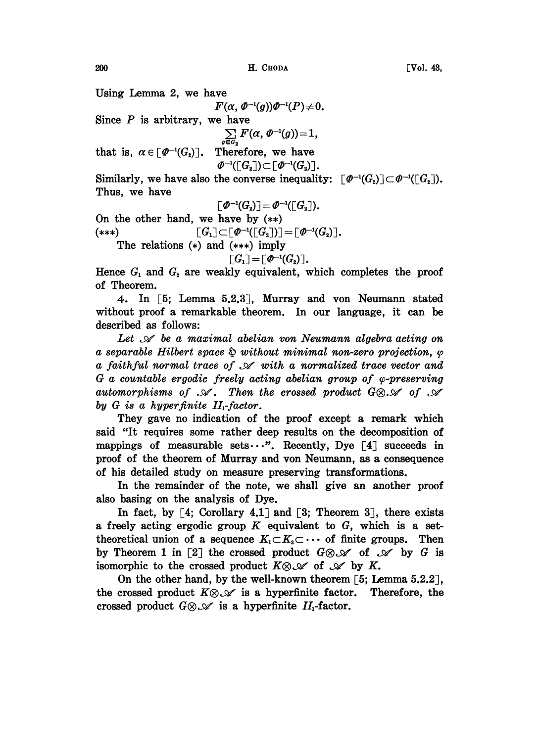Using Lemma 2, we have

 $F(\alpha, \phi^{-1}(g))\phi^{-1}(P) \neq 0.$ Since *P* is arbitrary, we have<br>  $\sum_{g \in G_2} F(\alpha, \Phi^{-1}(g)) = 1$ , that is,  $\alpha \in [\varPhi^{-1}(G_2)]$ . Therefore, we have  $\varPhi^{-1}(\lceil G_2 \rceil) \subset \lceil \varPhi^{-1}(G_2) \rceil$ .

Similarly, we have also the converse inequality:  $\lceil \varPhi^{-1}(G_2) \rceil \subset \varPhi^{-1}(\lceil G_2 \rceil)$ . Thus, we have

$$
\left[\varPhi^{-1}(G_{\scriptscriptstyle{\mathbf{2}}})\right]\!=\!\varPhi^{-1}(\left[\!\left[ G_{\scriptscriptstyle{\mathbf{2}}}\right]\!\right)\!).
$$

On the other hand, we have by  $(**)$  $\lceil G_1 \rceil \subset \lceil \varPhi^{-1}(\lceil G_2 \rceil) \rceil = \lceil \varPhi^{-1}(G_2) \rceil.$ (\*\*\*)

The relations  $(*)$  and  $(***)$  imply

 $\lceil G_1 \rceil = \lceil \varPhi^{-1}(G_2) \rceil.$ 

Hence  $G_1$  and  $G_2$  are weakly equivalent, which completes the proof of Theorem.

4. In E5; Lemma 5.2.3, Murray and yon Neumann stated without proof a remarkable theorem. In our language, it can be described as follows:

Let  $\mathscr A$  be a maximal abelian von Neumann algebra acting on a separable Hilbert space  $\hat{\mathfrak{g}}$  without minimal non-zero projection,  $\varphi$ <br>a faithful normal trace of  $\mathscr A$  with a normalized trace vector and  $G$  a countable ergodic freely acting abelian group of  $\varphi$ -preserving<br>automorphisms of  $\mathscr A$ . Then the crossed product  $G \otimes \mathscr A$  of  $\mathscr A$ by G is a hyperfinite II-factor.

They gave no indication of the proof except a remark which said "It requires some rather deep results on the decomposition of mappings of measurable sets...". Recently, Dye  $\lceil 4 \rceil$  succeeds in proof of the theorem of Murray and yon Neumann, as a consequence of his detailed study on measure preserving transformations.

In the remainder of the note, we shall give an another proof also basing on the analysis of Dye.

In fact, by  $\lceil 4$ ; Corollary 4.1 and  $\lceil 3$ ; Theorem 3, there exists a freely acting ergodic group  $K$  equivalent to  $G$ , which is a settheoretical union of a sequence  $K_1 \subset K_2 \subset \cdots$  of finite groups. Then by Theorem 1 in [2] the crossed product  $G \otimes \mathscr{A}$  of  $\mathscr{A}$  by G is isomorphic to the crossed product  $K \otimes \mathscr{A}$  of  $\mathscr{A}$  by K.

On the other hand, by the well-known theorem [5; Lemma 5.2.2],<br>the crossed product  $K \otimes \mathcal{N}$  is a hyperfinite factor. Therefore, the the crossed product  $K \otimes \mathcal{A}$  is a hyperfinite factor.<br>crossed product  $G \otimes \mathcal{A}$  is a hyperfinite  $II_1$ -factor.